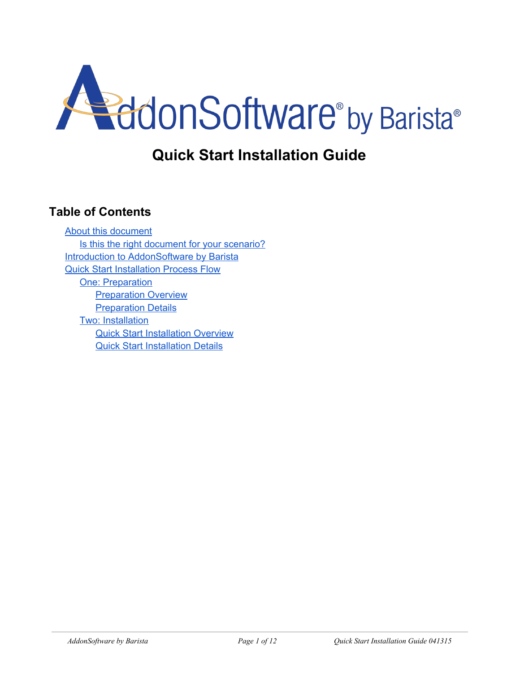

# **Quick Start Installation Guide**

# <span id="page-0-0"></span>**Table of Contents**

About this [document](#page-1-0) Is this the right [document](#page-1-1) for your scenario? **Introduction to [AddonSoftware](#page-3-0) by Barista** Quick Start [Installation](#page-3-0) Process Flow One: [Preparation](#page-4-0) [Preparation](#page-4-1) Overview **[Preparation](#page-5-0) Details** Two: [Installation](#page-7-0) Quick Start [Installation](#page-7-1) Overview Quick Start [Installation](#page-8-0) Details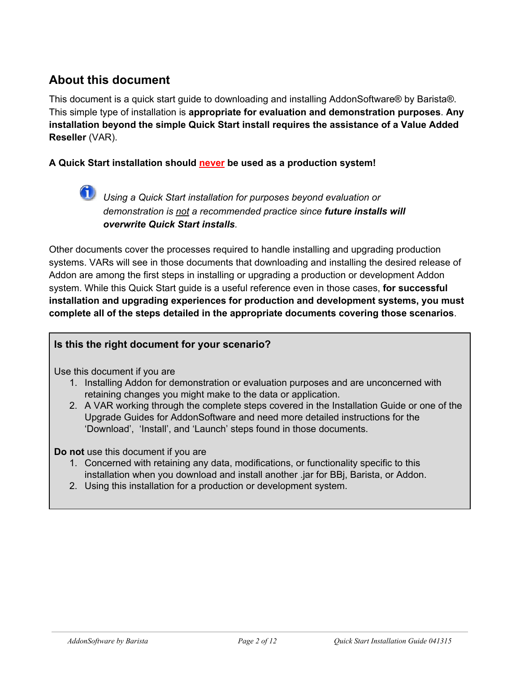# <span id="page-1-0"></span>**About this document**

This document is a quick start guide to downloading and installing AddonSoftware® by Barista®. This simple type of installation is **appropriate for evaluation and demonstration purposes**. **Any installation beyond the simple Quick Start install requires the assistance of a Value Added Reseller**(VAR).

#### **A Quick Start installation should neverbe used as a production system!**

*Using a Quick Start installation for purposes beyond evaluation or demonstration is not a recommended practice since future installs will overwrite Quick Start installs.*

Other documents cover the processes required to handle installing and upgrading production systems. VARs will see in those documents that downloading and installing the desired release of Addon are among the first steps in installing or upgrading a production or development Addon system. While this Quick Start guide is a useful reference even in those cases, **for successful installation and upgrading experiences for production and development systems, you must complete all of the steps detailed in the appropriate documents covering those scenarios**.

#### <span id="page-1-1"></span>**Is this the right document for your scenario?**

Use this document if you are

- 1. Installing Addon for demonstration or evaluation purposes and are unconcerned with retaining changes you might make to the data or application.
- 2. A VAR working through the complete steps covered in the Installation Guide or one of the Upgrade Guides for AddonSoftware and need more detailed instructions for the 'Download', 'Install', and 'Launch' steps found in those documents.

**Do not** use this document if you are

- 1. Concerned with retaining any data, modifications, or functionality specific to this installation when you download and install another .jar for BBj, Barista, or Addon.
- 2. Using this installation for a production or development system.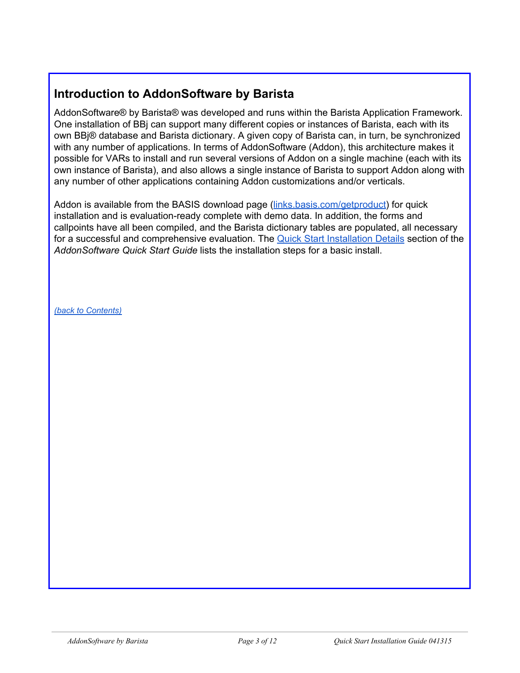# **Introduction to AddonSoftware by Barista**

AddonSoftware® by Barista® was developed and runs within the Barista Application Framework. One installation of BBj can support many different copies or instances of Barista, each with its own BBj® database and Barista dictionary. A given copy of Barista can, in turn, be synchronized with any number of applications. In terms of AddonSoftware (Addon), this architecture makes it possible for VARs to install and run several versions of Addon on a single machine (each with its own instance of Barista), and also allows a single instance of Barista to support Addon along with any number of other applications containing Addon customizations and/or verticals.

Addon is available from the BASIS download page [\(links.basis.com/getproduct\)](http://links.basis.com/getproduct) for quick installation and is evaluation-ready complete with demo data. In addition, the forms and callpoints have all been compiled, and the Barista dictionary tables are populated, all necessary for a successful and comprehensive evaluation. The Quick Start [Installation](#page-8-0) Details section of the *AddonSoftware Quick Start Guide* lists the installation steps for a basic install.

*(back to [Contents\)](#page-0-0)*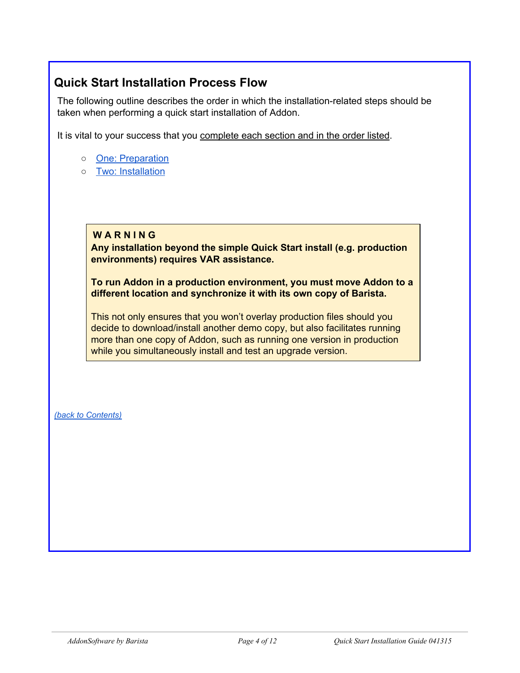# <span id="page-3-0"></span>**Quick Start Installation Process Flow**

The following outline describes the order in which the installation-related steps should be taken when performing a quick start installation of Addon.

It is vital to your success that you complete each section and in the order listed.

- One: [Preparation](#page-4-0)
- Two: [Installation](#page-7-0)

#### **W A R N I N G**

**Any installation beyond the simple Quick Start install (e.g. production environments) requires VAR assistance.**

**To run Addon in a production environment, you must move Addon to a different location and synchronize it with its own copy of Barista.**

This not only ensures that you won't overlay production files should you decide to download/install another demo copy, but also facilitates running more than one copy of Addon, such as running one version in production while you simultaneously install and test an upgrade version.

*(back to [Contents\)](#page-0-0)*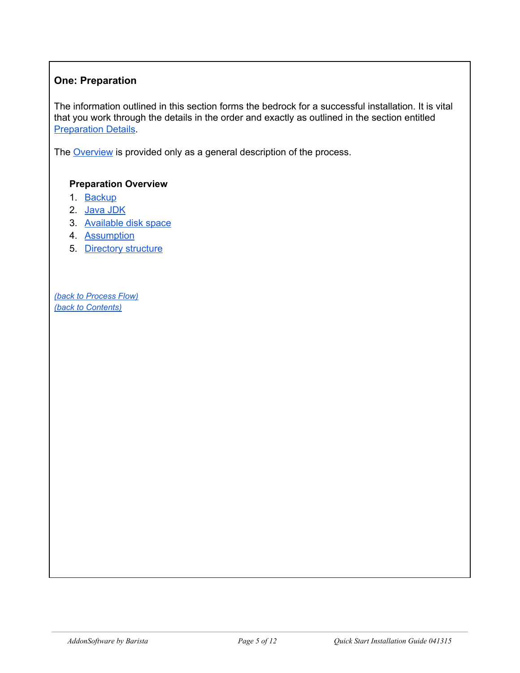# <span id="page-4-0"></span>**One: Preparation**

The information outlined in this section forms the bedrock for a successful installation. It is vital that you work through the details in the order and exactly as outlined in the section entitled [Preparation](#page-5-0) Details.

The **[Overview](#page-4-1)** is provided only as a general description of the process.

### <span id="page-4-1"></span>**Preparation Overview**

- 1. [Backup](#page-5-1)
- 2. [Java](#page-5-2) JDK
- 3. [Available](#page-5-3) disk space
- 4. [Assumption](#page-5-4)
- 5. [Directory](#page-6-0) structure

*(back to [Process](#page-3-0) Flow) (back to [Contents\)](#page-0-0)*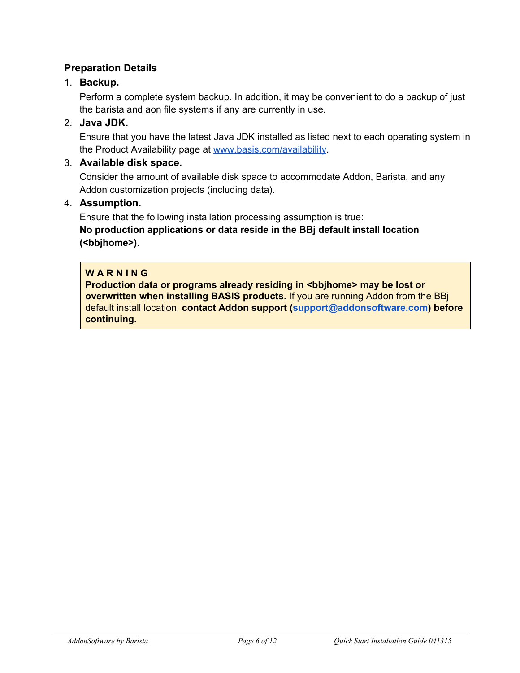# <span id="page-5-0"></span>**Preparation Details**

# <span id="page-5-1"></span>1. **Backup.**

Perform a complete system backup. In addition, it may be convenient to do a backup of just the barista and aon file systems if any are currently in use.

# <span id="page-5-2"></span>2. **Java JDK.**

Ensure that you have the latest Java JDK installed as listed next to each operating system in the Product Availability page at [www.basis.com/availability.](http://www.basis.com/availability)

### <span id="page-5-3"></span>3. **Available disk space.**

Consider the amount of available disk space to accommodate Addon, Barista, and any Addon customization projects (including data).

#### <span id="page-5-4"></span>4. **Assumption.**

Ensure that the following installation processing assumption is true: **No production applications or data reside in the BBj default install location (<bbjhome>)**.

#### **W A R N I N G**

**Production data or programs already residing in <bbjhome> may be lost or overwritten when installing BASIS products.**If you are running Addon from the BBj default install location, **contact Addon support ([support@addonsoftware.com](mailto:support@addonsoftware.com)) before continuing.**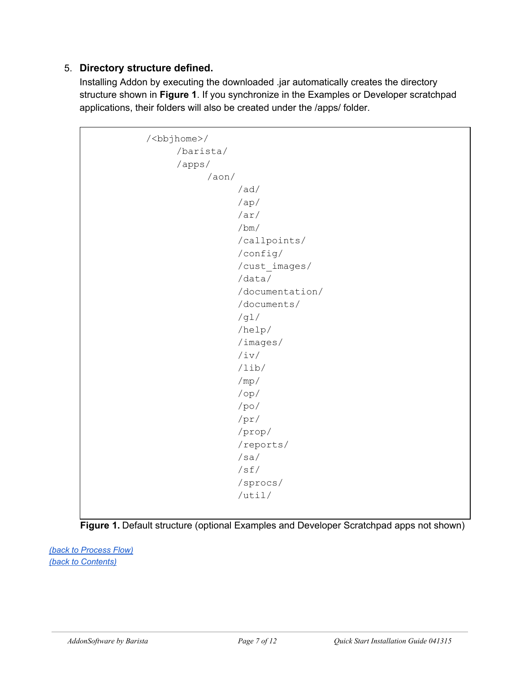# <span id="page-6-0"></span>5. **Directory structure defined.**

Installing Addon by executing the downloaded .jar automatically creates the directory structure shown in **Figure 1**. If you synchronize in the Examples or Developer scratchpad applications, their folders will also be created under the /apps/ folder.

```
/<bbjhome>/
/barista/
/apps/
      /aon/
            /ad/
            /ap/
            /ar/
            /bm/
            /callpoints/
            /config/
            /cust_images/
            /data/
            /documentation/
            /documents/
            /gl/
            /help/
            /images/
            /iv/
            /lib/
            /mp/
            /op/
            /po/
            /pr/
            /prop/
            /reports/
            /sa/
            /sf/
            /sprocs/
            /util/
```


*(back to [Process](#page-3-0) Flow) (back to [Contents\)](#page-0-0)*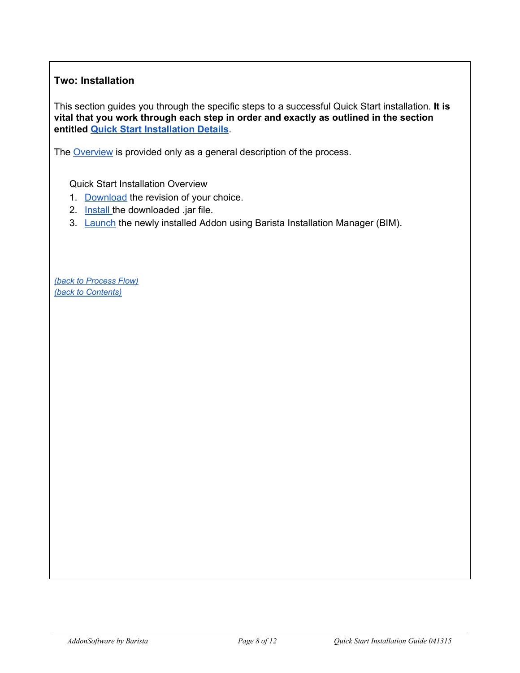# <span id="page-7-0"></span>**Two: Installation**

This section guides you through the specific steps to a successful Quick Start installation. **It is vital that you work through each step in order and exactly as outlined in the section entitled Quick Start [Installation](#page-8-0) Details**.

The [Overview](#page-7-1) is provided only as a general description of the process.

<span id="page-7-1"></span>Quick Start Installation Overview

- 1. [Download](#page-8-1) the revision of your choice.
- 2. **[Install](#page-9-0) the downloaded .jar file.**
- 3. [Launch](#page-10-0) the newly installed Addon using Barista Installation Manager (BIM).

*(back to [Process](#page-3-0) Flow) (back to [Contents\)](#page-0-0)*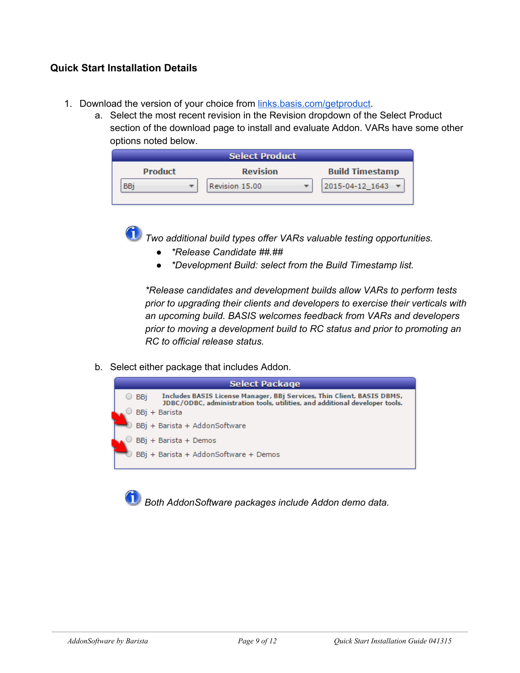#### <span id="page-8-0"></span>**Quick Start Installation Details**

- <span id="page-8-1"></span>1. Download the version of your choice from [links.basis.com/getproduct](http://links.basis.com/getproduct).
	- a. Select the most recent revision in the Revision dropdown of the Select Product section of the download page to install and evaluate Addon. VARs have some other options noted below.

| <b>Select Product</b> |  |                 |  |                        |  |  |  |  |
|-----------------------|--|-----------------|--|------------------------|--|--|--|--|
| <b>Product</b>        |  | <b>Revision</b> |  | <b>Build Timestamp</b> |  |  |  |  |
| BBi                   |  | Revision 15.00  |  | 2015-04-12 1643        |  |  |  |  |

*Two additional build types offer VARs valuable testing opportunities.*

- *● \*Release Candidate ##.##*
- *● \*Development Build: select from the Build Timestamp list.*

*\*Release candidates and development builds allow VARs to perform tests prior to upgrading their clients and developers to exercise their verticals with an upcoming build. BASIS welcomes feedback from VARs and developers prior to moving a development build to RC status and prior to promoting an RC to official release status.*

b. Select either package that includes Addon.



*Both AddonSoftware packages include Addon demo data.*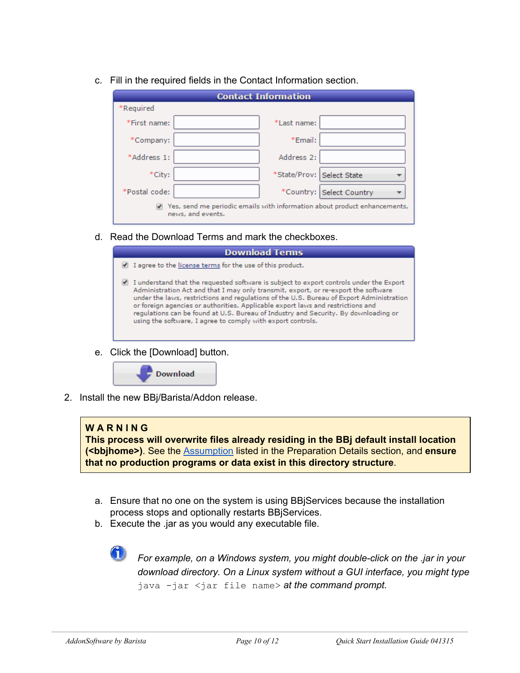|  |  | c. Fill in the required fields in the Contact Information section. |
|--|--|--------------------------------------------------------------------|
|  |  |                                                                    |

| <b>Contact Information</b>                                                                     |                           |  |  |  |  |  |
|------------------------------------------------------------------------------------------------|---------------------------|--|--|--|--|--|
| *Required                                                                                      |                           |  |  |  |  |  |
| *First name:                                                                                   | *Last name:               |  |  |  |  |  |
| *Company:                                                                                      | *Email:                   |  |  |  |  |  |
| *Address 1:                                                                                    | Address 2:                |  |  |  |  |  |
| *City:                                                                                         | *State/Prov: Select State |  |  |  |  |  |
| *Postal code:                                                                                  | *Country: Select Country  |  |  |  |  |  |
| Yes, send me periodic emails with information about product enhancements,<br>news, and events. |                           |  |  |  |  |  |

d. Read the Download Terms and mark the checkboxes.

| <b>Download Terms</b>                                                                                                                                                                                                                                                                                                                                                                                                                                                                                              |  |  |  |  |
|--------------------------------------------------------------------------------------------------------------------------------------------------------------------------------------------------------------------------------------------------------------------------------------------------------------------------------------------------------------------------------------------------------------------------------------------------------------------------------------------------------------------|--|--|--|--|
| I agree to the license terms for the use of this product.                                                                                                                                                                                                                                                                                                                                                                                                                                                          |  |  |  |  |
| I understand that the requested software is subject to export controls under the Export<br>Administration Act and that I may only transmit, export, or re-export the software<br>under the laws, restrictions and regulations of the U.S. Bureau of Export Administration<br>or foreign agencies or authorities. Applicable export laws and restrictions and<br>requlations can be found at U.S. Bureau of Industry and Security. By downloading or<br>using the software, I agree to comply with export controls. |  |  |  |  |

e. Click the [Download] button.



<span id="page-9-0"></span>2. Install the new BBj/Barista/Addon release.

#### **W A R N I N G**

**This process will overwrite files already residing in the BBj default install location (<bbjhome>)**. See the [Assumption](#page-5-4) listed in the Preparation Details section, and **ensure that no production programs or data exist in this directory structure**.

- a. Ensure that no one on the system is using BBjServices because the installation process stops and optionally restarts BBjServices.
- b. Execute the .jar as you would any executable file.



*For example, on a Windows system, you might doubleclick on the .jar in your download directory. On a Linux system without a GUI interface, you might type* java -jar <jar file name> at the command prompt.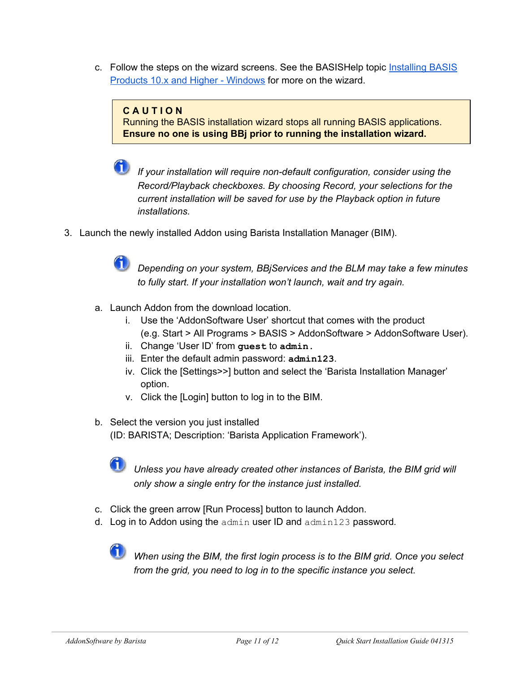c. Follow the steps on the wizard screens. See the BASISHelp topic [Installing](http://documentation.basis.com/BASISHelp/WebHelp/wininst/installing_bbj10x_windows.htm) BASIS Products 10.x and Higher - [Windows](http://documentation.basis.com/BASISHelp/WebHelp/wininst/installing_bbj10x_windows.htm) for more on the wizard.

#### **C A U T I O N**

Running the BASIS installation wizard stops all running BASIS applications. **Ensure no one is using BBjprior to running the installation wizard.**

*If* your installation will require non-default configuration, consider using the *Record/Playback checkboxes. By choosing Record, your selections for the current installation will be saved for use by the Playback option in future installations.*

<span id="page-10-0"></span>3. Launch the newly installed Addon using Barista Installation Manager (BIM).



*Depending on your system, BBjServices and the BLM may take a few minutes to fully start. If your installation won't launch, wait and try again.*

- a. Launch Addon from the download location.
	- i. Use the 'AddonSoftware User' shortcut that comes with the product (e.g. Start > All Programs > BASIS > AddonSoftware > AddonSoftware User).
	- ii. Change 'User ID' from **guest**to **admin.**
	- iii. Enter the default admin password: **admin123**.
	- iv. Click the [Settings>>] button and select the 'Barista Installation Manager' option.
	- v. Click the [Login] button to log in to the BIM.
- b. Select the version you just installed (ID: BARISTA; Description: 'Barista Application Framework').



*Unless you have already created other instances of Barista, the BIM grid will only show a single entry for the instance just installed.*

- c. Click the green arrow [Run Process] button to launch Addon.
- d. Log in to Addon using the adminuser ID and admin123password*.*

*When using the BIM, the first login process is to the BIM grid. Once you select from the grid, you need to log in to the specific instance you select.*